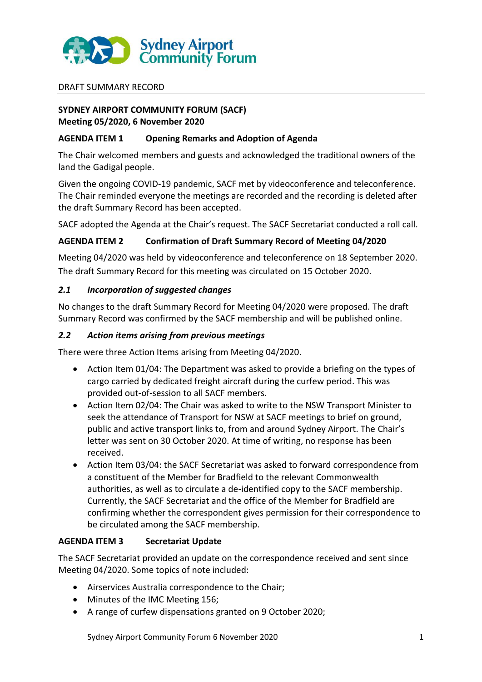

### DRAFT SUMMARY RECORD

# **SYDNEY AIRPORT COMMUNITY FORUM (SACF) Meeting 05/2020, 6 November 2020**

## **AGENDA ITEM 1 Opening Remarks and Adoption of Agenda**

The Chair welcomed members and guests and acknowledged the traditional owners of the land the Gadigal people.

Given the ongoing COVID-19 pandemic, SACF met by videoconference and teleconference. The Chair reminded everyone the meetings are recorded and the recording is deleted after the draft Summary Record has been accepted.

SACF adopted the Agenda at the Chair's request. The SACF Secretariat conducted a roll call.

## **AGENDA ITEM 2 Confirmation of Draft Summary Record of Meeting 04/2020**

Meeting 04/2020 was held by videoconference and teleconference on 18 September 2020. The draft Summary Record for this meeting was circulated on 15 October 2020.

## *2.1 Incorporation of suggested changes*

No changes to the draft Summary Record for Meeting 04/2020 were proposed. The draft Summary Record was confirmed by the SACF membership and will be published online.

## *2.2 Action items arising from previous meetings*

There were three Action Items arising from Meeting 04/2020.

- Action Item 01/04: The Department was asked to provide a briefing on the types of cargo carried by dedicated freight aircraft during the curfew period. This was provided out-of-session to all SACF members.
- Action Item 02/04: The Chair was asked to write to the NSW Transport Minister to seek the attendance of Transport for NSW at SACF meetings to brief on ground, public and active transport links to, from and around Sydney Airport. The Chair's letter was sent on 30 October 2020. At time of writing, no response has been received.
- Action Item 03/04: the SACF Secretariat was asked to forward correspondence from a constituent of the Member for Bradfield to the relevant Commonwealth authorities, as well as to circulate a de-identified copy to the SACF membership. Currently, the SACF Secretariat and the office of the Member for Bradfield are confirming whether the correspondent gives permission for their correspondence to be circulated among the SACF membership.

# **AGENDA ITEM 3 Secretariat Update**

The SACF Secretariat provided an update on the correspondence received and sent since Meeting 04/2020. Some topics of note included:

- Airservices Australia correspondence to the Chair;
- Minutes of the IMC Meeting 156;
- A range of curfew dispensations granted on 9 October 2020;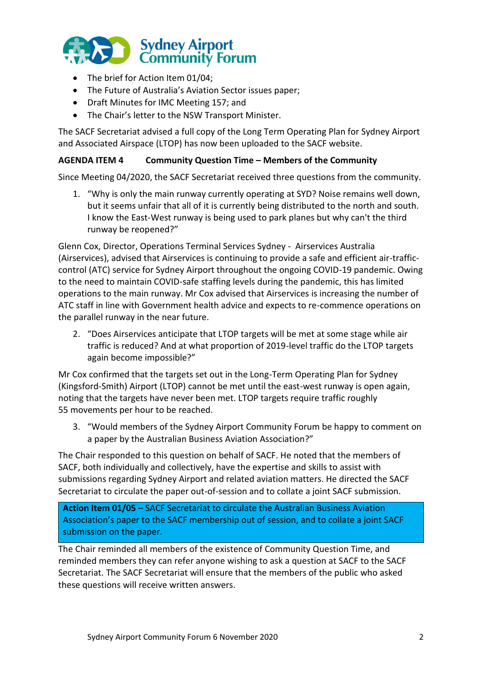

- The brief for Action Item 01/04:
- The Future of Australia's Aviation Sector issues paper;
- Draft Minutes for IMC Meeting 157; and
- The Chair's letter to the NSW Transport Minister.

The SACF Secretariat advised a full copy of the Long Term Operating Plan for Sydney Airport and Associated Airspace (LTOP) has now been uploaded to the SACF website.

## **AGENDA ITEM 4 Community Question Time – Members of the Community**

Since Meeting 04/2020, the SACF Secretariat received three questions from the community.

1. "Why is only the main runway currently operating at SYD? Noise remains well down, but it seems unfair that all of it is currently being distributed to the north and south. I know the East-West runway is being used to park planes but why can't the third runway be reopened?"

Glenn Cox, Director, Operations Terminal Services Sydney - Airservices Australia (Airservices), advised that Airservices is continuing to provide a safe and efficient air-trafficcontrol (ATC) service for Sydney Airport throughout the ongoing COVID-19 pandemic. Owing to the need to maintain COVID-safe staffing levels during the pandemic, this has limited operations to the main runway. Mr Cox advised that Airservices is increasing the number of ATC staff in line with Government health advice and expects to re-commence operations on the parallel runway in the near future.

2. "Does Airservices anticipate that LTOP targets will be met at some stage while air traffic is reduced? And at what proportion of 2019-level traffic do the LTOP targets again become impossible?"

Mr Cox confirmed that the targets set out in the Long-Term Operating Plan for Sydney (Kingsford-Smith) Airport (LTOP) cannot be met until the east-west runway is open again, noting that the targets have never been met. LTOP targets require traffic roughly 55 movements per hour to be reached.

3. "Would members of the Sydney Airport Community Forum be happy to comment on a paper by the Australian Business Aviation Association?"

The Chair responded to this question on behalf of SACF. He noted that the members of SACF, both individually and collectively, have the expertise and skills to assist with submissions regarding Sydney Airport and related aviation matters. He directed the SACF Secretariat to circulate the paper out-of-session and to collate a joint SACF submission.

**Action Item 01/05** – SACF Secretariat to circulate the Australian Business Aviation Association's paper to the SACF membership out of session, and to collate a joint SACF submission on the paper.

The Chair reminded all members of the existence of Community Question Time, and reminded members they can refer anyone wishing to ask a question at SACF to the SACF Secretariat. The SACF Secretariat will ensure that the members of the public who asked these questions will receive written answers.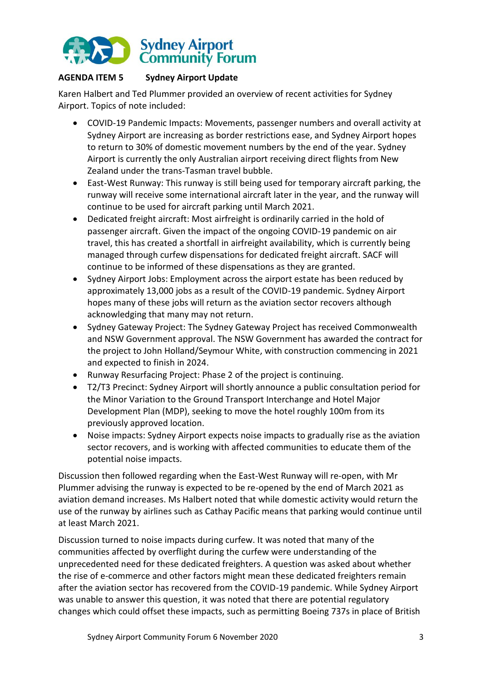

# **AGENDA ITEM 5 Sydney Airport Update**

Karen Halbert and Ted Plummer provided an overview of recent activities for Sydney Airport. Topics of note included:

- COVID-19 Pandemic Impacts: Movements, passenger numbers and overall activity at Sydney Airport are increasing as border restrictions ease, and Sydney Airport hopes to return to 30% of domestic movement numbers by the end of the year. Sydney Airport is currently the only Australian airport receiving direct flights from New Zealand under the trans-Tasman travel bubble.
- East-West Runway: This runway is still being used for temporary aircraft parking, the runway will receive some international aircraft later in the year, and the runway will continue to be used for aircraft parking until March 2021.
- Dedicated freight aircraft: Most airfreight is ordinarily carried in the hold of passenger aircraft. Given the impact of the ongoing COVID-19 pandemic on air travel, this has created a shortfall in airfreight availability, which is currently being managed through curfew dispensations for dedicated freight aircraft. SACF will continue to be informed of these dispensations as they are granted.
- Sydney Airport Jobs: Employment across the airport estate has been reduced by approximately 13,000 jobs as a result of the COVID-19 pandemic. Sydney Airport hopes many of these jobs will return as the aviation sector recovers although acknowledging that many may not return.
- Sydney Gateway Project: The Sydney Gateway Project has received Commonwealth and NSW Government approval. The NSW Government has awarded the contract for the project to John Holland/Seymour White, with construction commencing in 2021 and expected to finish in 2024.
- Runway Resurfacing Project: Phase 2 of the project is continuing.
- T2/T3 Precinct: Sydney Airport will shortly announce a public consultation period for the Minor Variation to the Ground Transport Interchange and Hotel Major Development Plan (MDP), seeking to move the hotel roughly 100m from its previously approved location.
- Noise impacts: Sydney Airport expects noise impacts to gradually rise as the aviation sector recovers, and is working with affected communities to educate them of the potential noise impacts.

Discussion then followed regarding when the East-West Runway will re-open, with Mr Plummer advising the runway is expected to be re-opened by the end of March 2021 as aviation demand increases. Ms Halbert noted that while domestic activity would return the use of the runway by airlines such as Cathay Pacific means that parking would continue until at least March 2021.

Discussion turned to noise impacts during curfew. It was noted that many of the communities affected by overflight during the curfew were understanding of the unprecedented need for these dedicated freighters. A question was asked about whether the rise of e-commerce and other factors might mean these dedicated freighters remain after the aviation sector has recovered from the COVID-19 pandemic. While Sydney Airport was unable to answer this question, it was noted that there are potential regulatory changes which could offset these impacts, such as permitting Boeing 737s in place of British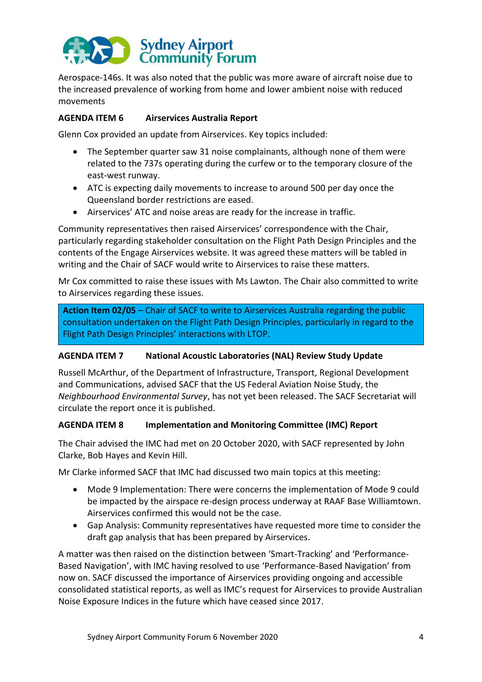

Aerospace-146s. It was also noted that the public was more aware of aircraft noise due to the increased prevalence of working from home and lower ambient noise with reduced movements

# **AGENDA ITEM 6 Airservices Australia Report**

Glenn Cox provided an update from Airservices. Key topics included:

- The September quarter saw 31 noise complainants, although none of them were related to the 737s operating during the curfew or to the temporary closure of the east-west runway.
- ATC is expecting daily movements to increase to around 500 per day once the Queensland border restrictions are eased.
- Airservices' ATC and noise areas are ready for the increase in traffic.

Community representatives then raised Airservices' correspondence with the Chair, particularly regarding stakeholder consultation on the Flight Path Design Principles and the contents of the Engage Airservices website. It was agreed these matters will be tabled in writing and the Chair of SACF would write to Airservices to raise these matters.

Mr Cox committed to raise these issues with Ms Lawton. The Chair also committed to write to Airservices regarding these issues.

**Action Item 02/05** – Chair of SACF to write to Airservices Australia regarding the public consultation undertaken on the Flight Path Design Principles, particularly in regard to the Flight Path Design Principles' interactions with LTOP.

### **AGENDA ITEM 7 National Acoustic Laboratories (NAL) Review Study Update**

Russell McArthur, of the Department of Infrastructure, Transport, Regional Development and Communications, advised SACF that the US Federal Aviation Noise Study, the *Neighbourhood Environmental Survey*, has not yet been released. The SACF Secretariat will circulate the report once it is published.

### **AGENDA ITEM 8 Implementation and Monitoring Committee (IMC) Report**

The Chair advised the IMC had met on 20 October 2020, with SACF represented by John Clarke, Bob Hayes and Kevin Hill.

Mr Clarke informed SACF that IMC had discussed two main topics at this meeting:

- Mode 9 Implementation: There were concerns the implementation of Mode 9 could be impacted by the airspace re-design process underway at RAAF Base Williamtown. Airservices confirmed this would not be the case.
- Gap Analysis: Community representatives have requested more time to consider the draft gap analysis that has been prepared by Airservices.

A matter was then raised on the distinction between 'Smart-Tracking' and 'Performance-Based Navigation', with IMC having resolved to use 'Performance-Based Navigation' from now on. SACF discussed the importance of Airservices providing ongoing and accessible consolidated statistical reports, as well as IMC's request for Airservices to provide Australian Noise Exposure Indices in the future which have ceased since 2017.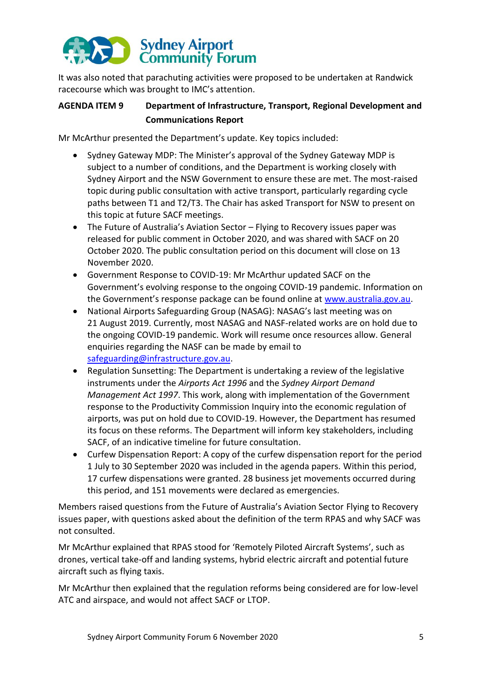# Sydney Airport<br>
Community Forum

It was also noted that parachuting activities were proposed to be undertaken at Randwick racecourse which was brought to IMC's attention.

# **AGENDA ITEM 9 Department of Infrastructure, Transport, Regional Development and Communications Report**

Mr McArthur presented the Department's update. Key topics included:

- Sydney Gateway MDP: The Minister's approval of the Sydney Gateway MDP is subject to a number of conditions, and the Department is working closely with Sydney Airport and the NSW Government to ensure these are met. The most-raised topic during public consultation with active transport, particularly regarding cycle paths between T1 and T2/T3. The Chair has asked Transport for NSW to present on this topic at future SACF meetings.
- The Future of Australia's Aviation Sector Flying to Recovery issues paper was released for public comment in October 2020, and was shared with SACF on 20 October 2020. The public consultation period on this document will close on 13 November 2020.
- Government Response to COVID-19: Mr McArthur updated SACF on the Government's evolving response to the ongoing COVID-19 pandemic. Information on the Government's response package can be found online at [www.australia.gov.au.](http://www.australia.gov.au/)
- National Airports Safeguarding Group (NASAG): NASAG's last meeting was on 21 August 2019. Currently, most NASAG and NASF-related works are on hold due to the ongoing COVID-19 pandemic. Work will resume once resources allow. General enquiries regarding the NASF can be made by email to [safeguarding@infrastructure.gov.au.](mailto:safeguarding@infrastructure.gov.au)
- Regulation Sunsetting: The Department is undertaking a review of the legislative instruments under the *Airports Act 1996* and the *Sydney Airport Demand Management Act 1997*. This work, along with implementation of the Government response to the Productivity Commission Inquiry into the economic regulation of airports, was put on hold due to COVID-19. However, the Department has resumed its focus on these reforms. The Department will inform key stakeholders, including SACF, of an indicative timeline for future consultation.
- Curfew Dispensation Report: A copy of the curfew dispensation report for the period 1 July to 30 September 2020 was included in the agenda papers. Within this period, 17 curfew dispensations were granted. 28 business jet movements occurred during this period, and 151 movements were declared as emergencies.

Members raised questions from the Future of Australia's Aviation Sector Flying to Recovery issues paper, with questions asked about the definition of the term RPAS and why SACF was not consulted.

Mr McArthur explained that RPAS stood for 'Remotely Piloted Aircraft Systems', such as drones, vertical take-off and landing systems, hybrid electric aircraft and potential future aircraft such as flying taxis.

Mr McArthur then explained that the regulation reforms being considered are for low-level ATC and airspace, and would not affect SACF or LTOP.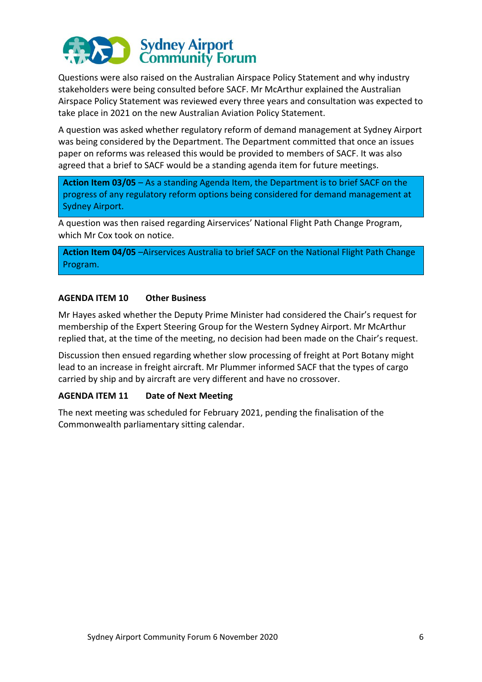

Questions were also raised on the Australian Airspace Policy Statement and why industry stakeholders were being consulted before SACF. Mr McArthur explained the Australian Airspace Policy Statement was reviewed every three years and consultation was expected to take place in 2021 on the new Australian Aviation Policy Statement.

A question was asked whether regulatory reform of demand management at Sydney Airport was being considered by the Department. The Department committed that once an issues paper on reforms was released this would be provided to members of SACF. It was also agreed that a brief to SACF would be a standing agenda item for future meetings.

**Action Item 03/05** – As a standing Agenda Item, the Department is to brief SACF on the progress of any regulatory reform options being considered for demand management at Sydney Airport.

A question was then raised regarding Airservices' National Flight Path Change Program, which Mr Cox took on notice.

**Action Item 04/05** –Airservices Australia to brief SACF on the National Flight Path Change Program.

### **AGENDA ITEM 10 Other Business**

Mr Hayes asked whether the Deputy Prime Minister had considered the Chair's request for membership of the Expert Steering Group for the Western Sydney Airport. Mr McArthur replied that, at the time of the meeting, no decision had been made on the Chair's request.

Discussion then ensued regarding whether slow processing of freight at Port Botany might lead to an increase in freight aircraft. Mr Plummer informed SACF that the types of cargo carried by ship and by aircraft are very different and have no crossover.

### **AGENDA ITEM 11 Date of Next Meeting**

The next meeting was scheduled for February 2021, pending the finalisation of the Commonwealth parliamentary sitting calendar.